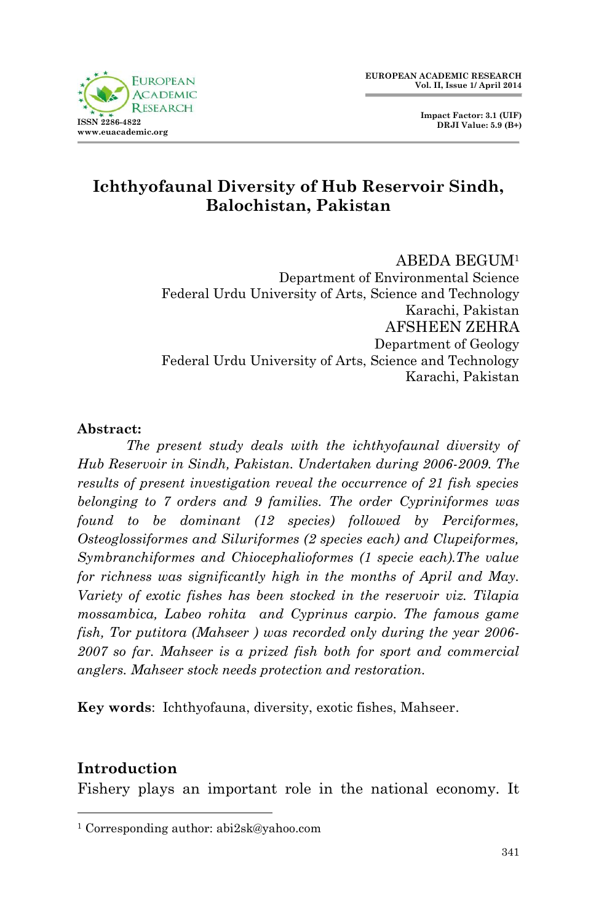

 **Impact Factor: 3.1 (UIF) DRJI Value: 5.9 (B+)**

# **Ichthyofaunal Diversity of Hub Reservoir Sindh, Balochistan, Pakistan**

#### ABEDA BEGUM<sup>1</sup>

Department of Environmental Science Federal Urdu University of Arts, Science and Technology Karachi, Pakistan AFSHEEN ZEHRA Department of Geology Federal Urdu University of Arts, Science and Technology Karachi, Pakistan

#### **Abstract:**

*The present study deals with the ichthyofaunal diversity of Hub Reservoir in Sindh, Pakistan. Undertaken during 2006-2009. The results of present investigation reveal the occurrence of 21 fish species belonging to 7 orders and 9 families. The order Cypriniformes was found to be dominant (12 species) followed by Perciformes, Osteoglossiformes and Siluriformes (2 species each) and Clupeiformes, Symbranchiformes and Chiocephalioformes (1 specie each).The value for richness was significantly high in the months of April and May. Variety of exotic fishes has been stocked in the reservoir viz. Tilapia mossambica, Labeo rohita and Cyprinus carpio. The famous game fish, Tor putitora (Mahseer ) was recorded only during the year 2006- 2007 so far. Mahseer is a prized fish both for sport and commercial anglers. Mahseer stock needs protection and restoration.*

**Key words**: Ichthyofauna, diversity, exotic fishes, Mahseer.

## **Introduction**

1

Fishery plays an important role in the national economy. It

<sup>1</sup> Corresponding author: abi2sk@yahoo.com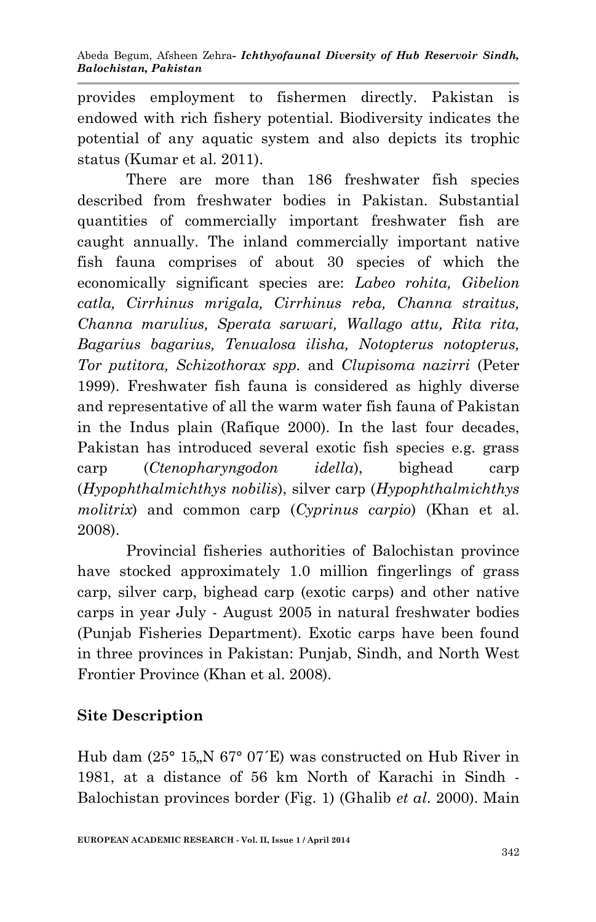provides employment to fishermen directly. Pakistan is endowed with rich fishery potential. Biodiversity indicates the potential of any aquatic system and also depicts its trophic status (Kumar et al. 2011).

There are more than 186 freshwater fish species described from freshwater bodies in Pakistan. Substantial quantities of commercially important freshwater fish are caught annually. The inland commercially important native fish fauna comprises of about 30 species of which the economically significant species are: *Labeo rohita, Gibelion catla, Cirrhinus mrigala, Cirrhinus reba, Channa straitus, Channa marulius, Sperata sarwari, Wallago attu, Rita rita, Bagarius bagarius, Tenualosa ilisha, Notopterus notopterus, Tor putitora, Schizothorax spp.* and *Clupisoma nazirri* (Peter 1999). Freshwater fish fauna is considered as highly diverse and representative of all the warm water fish fauna of Pakistan in the Indus plain (Rafique 2000). In the last four decades, Pakistan has introduced several exotic fish species e.g. grass carp (*Ctenopharyngodon idella*), bighead carp (*Hypophthalmichthys nobilis*), silver carp (*Hypophthalmichthys molitrix*) and common carp (*Cyprinus carpio*) (Khan et al. 2008).

Provincial fisheries authorities of Balochistan province have stocked approximately 1.0 million fingerlings of grass carp, silver carp, bighead carp (exotic carps) and other native carps in year July - August 2005 in natural freshwater bodies (Punjab Fisheries Department). Exotic carps have been found in three provinces in Pakistan: Punjab, Sindh, and North West Frontier Province (Khan et al. 2008).

## **Site Description**

Hub dam  $(25^{\circ} 15)$ , N  $67^{\circ} 07$ <sup>'</sup>E) was constructed on Hub River in 1981, at a distance of 56 km North of Karachi in Sindh - Balochistan provinces border (Fig. 1) (Ghalib *et al*. 2000). Main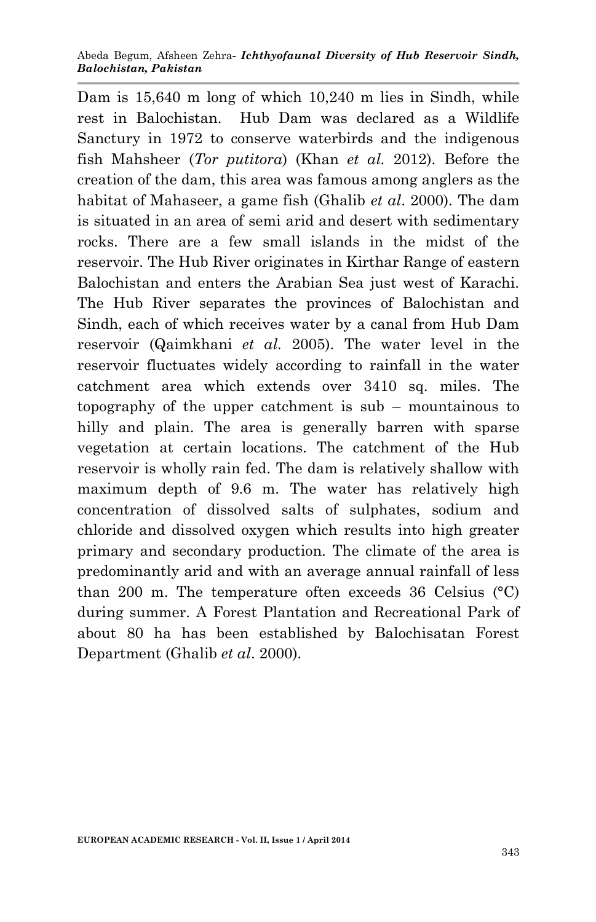Dam is 15,640 m long of which 10,240 m lies in Sindh, while rest in Balochistan. Hub Dam was declared as a Wildlife Sanctury in 1972 to conserve waterbirds and the indigenous fish Mahsheer (*Tor putitora*) (Khan *et al.* 2012). Before the creation of the dam, this area was famous among anglers as the habitat of Mahaseer, a game fish (Ghalib *et al*. 2000). The dam is situated in an area of semi arid and desert with sedimentary rocks. There are a few small islands in the midst of the reservoir. The Hub River originates in Kirthar Range of eastern Balochistan and enters the Arabian Sea just west of Karachi. The Hub River separates the provinces of Balochistan and Sindh, each of which receives water by a canal from Hub Dam reservoir (Qaimkhani *et al.* 2005). The water level in the reservoir fluctuates widely according to rainfall in the water catchment area which extends over 3410 sq. miles. The topography of the upper catchment is sub – mountainous to hilly and plain. The area is generally barren with sparse vegetation at certain locations. The catchment of the Hub reservoir is wholly rain fed. The dam is relatively shallow with maximum depth of 9.6 m. The water has relatively high concentration of dissolved salts of sulphates, sodium and chloride and dissolved oxygen which results into high greater primary and secondary production. The climate of the area is predominantly arid and with an average annual rainfall of less than 200 m. The temperature often exceeds 36 Celsius (°C) during summer. A Forest Plantation and Recreational Park of about 80 ha has been established by Balochisatan Forest Department (Ghalib *et al*. 2000).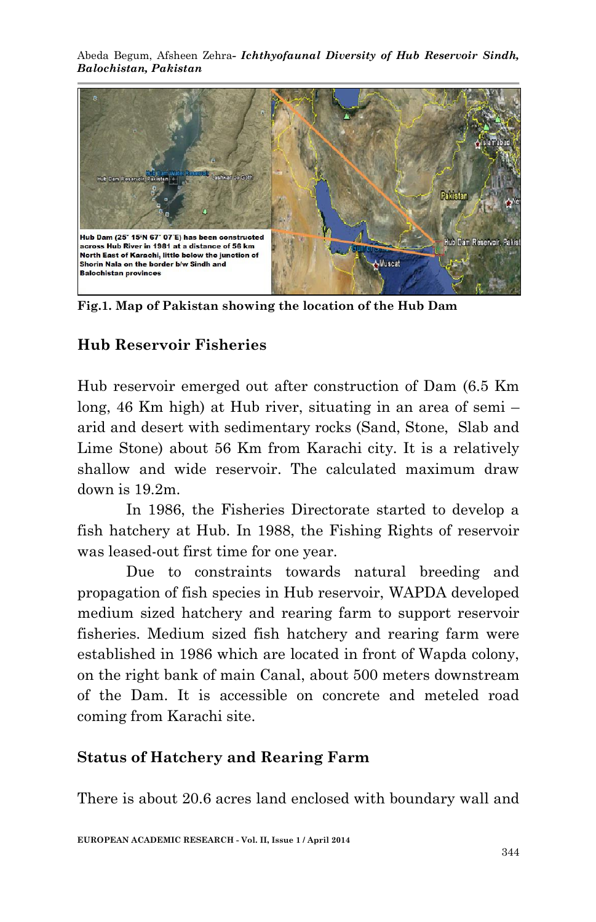Abeda Begum, Afsheen Zehra*- Ichthyofaunal Diversity of Hub Reservoir Sindh, Balochistan, Pakistan*



**Fig.1. Map of Pakistan showing the location of the Hub Dam**

## **Hub Reservoir Fisheries**

Hub reservoir emerged out after construction of Dam (6.5 Km long, 46 Km high) at Hub river, situating in an area of semi – arid and desert with sedimentary rocks (Sand, Stone, Slab and Lime Stone) about 56 Km from Karachi city. It is a relatively shallow and wide reservoir. The calculated maximum draw down is 19.2m.

In 1986, the Fisheries Directorate started to develop a fish hatchery at Hub. In 1988, the Fishing Rights of reservoir was leased-out first time for one year.

Due to constraints towards natural breeding and propagation of fish species in Hub reservoir, WAPDA developed medium sized hatchery and rearing farm to support reservoir fisheries. Medium sized fish hatchery and rearing farm were established in 1986 which are located in front of Wapda colony, on the right bank of main Canal, about 500 meters downstream of the Dam. It is accessible on concrete and meteled road coming from Karachi site.

## **Status of Hatchery and Rearing Farm**

There is about 20.6 acres land enclosed with boundary wall and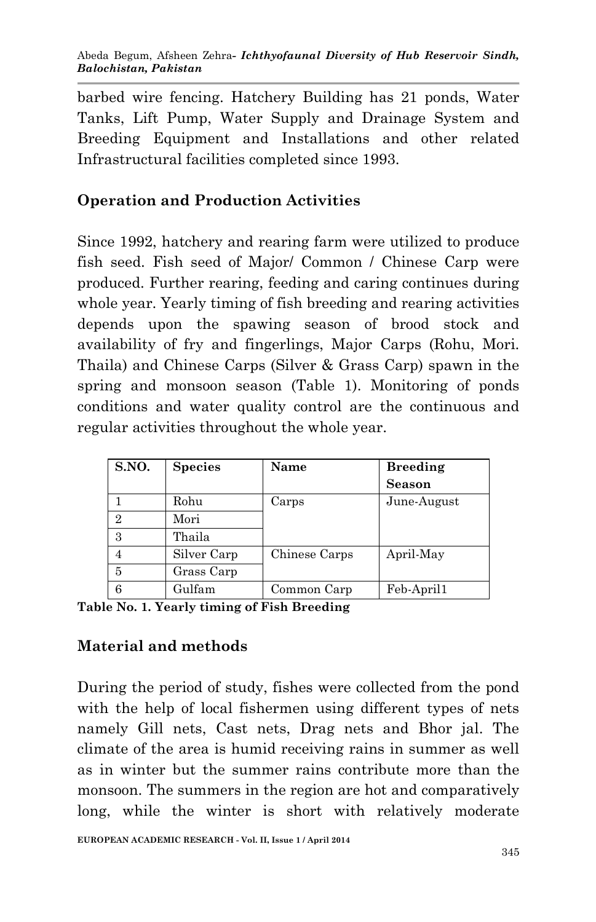barbed wire fencing. Hatchery Building has 21 ponds, Water Tanks, Lift Pump, Water Supply and Drainage System and Breeding Equipment and Installations and other related Infrastructural facilities completed since 1993.

# **Operation and Production Activities**

Since 1992, hatchery and rearing farm were utilized to produce fish seed. Fish seed of Major/ Common / Chinese Carp were produced. Further rearing, feeding and caring continues during whole year. Yearly timing of fish breeding and rearing activities depends upon the spawing season of brood stock and availability of fry and fingerlings, Major Carps (Rohu, Mori. Thaila) and Chinese Carps (Silver & Grass Carp) spawn in the spring and monsoon season (Table 1). Monitoring of ponds conditions and water quality control are the continuous and regular activities throughout the whole year.

| S.NO.          | <b>Species</b> | <b>Name</b>   | <b>Breeding</b> |
|----------------|----------------|---------------|-----------------|
|                |                |               | <b>Season</b>   |
|                | Rohu           | Carps         | June-August     |
| $\overline{2}$ | Mori           |               |                 |
| 3              | Thaila         |               |                 |
| 4              | Silver Carp    | Chinese Carps | April-May       |
| 5              | Grass Carp     |               |                 |
| 6              | Gulfam         | Common Carp   | Feb-April1      |

**Table No. 1. Yearly timing of Fish Breeding**

## **Material and methods**

During the period of study, fishes were collected from the pond with the help of local fishermen using different types of nets namely Gill nets, Cast nets, Drag nets and Bhor jal. The climate of the area is humid receiving rains in summer as well as in winter but the summer rains contribute more than the monsoon. The summers in the region are hot and comparatively long, while the winter is short with relatively moderate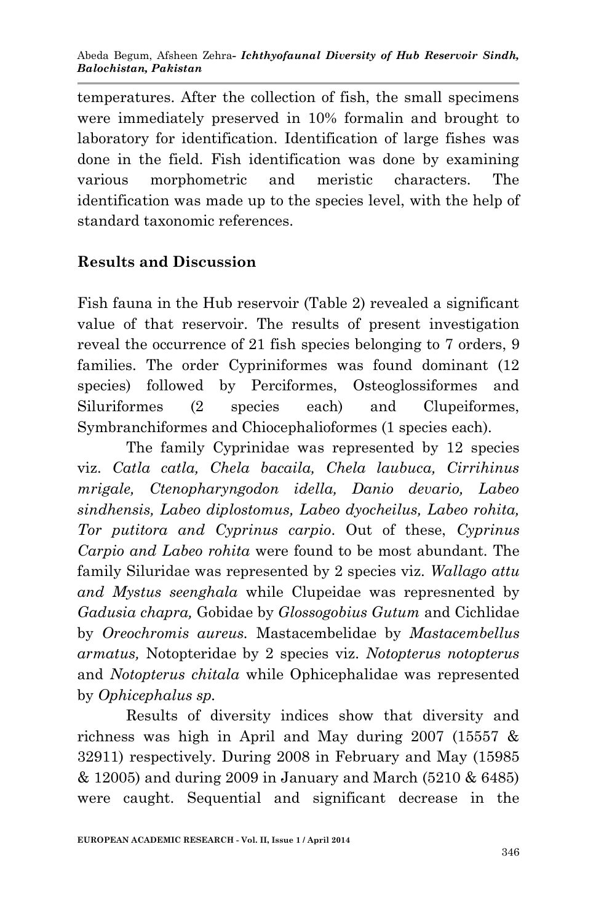temperatures. After the collection of fish, the small specimens were immediately preserved in 10% formalin and brought to laboratory for identification. Identification of large fishes was done in the field. Fish identification was done by examining various morphometric and meristic characters. The identification was made up to the species level, with the help of standard taxonomic references.

# **Results and Discussion**

Fish fauna in the Hub reservoir (Table 2) revealed a significant value of that reservoir. The results of present investigation reveal the occurrence of 21 fish species belonging to 7 orders, 9 families. The order Cypriniformes was found dominant (12 species) followed by Perciformes, Osteoglossiformes and Siluriformes (2 species each) and Clupeiformes, Symbranchiformes and Chiocephalioformes (1 species each).

The family Cyprinidae was represented by 12 species viz. *Catla catla, Chela bacaila, Chela laubuca, Cirrihinus mrigale, Ctenopharyngodon idella, Danio devario, Labeo sindhensis, Labeo diplostomus, Labeo dyocheilus, Labeo rohita, Tor putitora and Cyprinus carpio*. Out of these, *Cyprinus Carpio and Labeo rohita* were found to be most abundant. The family Siluridae was represented by 2 species viz. *Wallago attu and Mystus seenghala* while Clupeidae was represnented by *Gadusia chapra,* Gobidae by *Glossogobius Gutum* and Cichlidae by *Oreochromis aureus.* Mastacembelidae by *Mastacembellus armatus,* Notopteridae by 2 species viz. *Notopterus notopterus*  and *Notopterus chitala* while Ophicephalidae was represented by *Ophicephalus sp.*

Results of diversity indices show that diversity and richness was high in April and May during  $2007$  (15557  $\&$ 32911) respectively. During 2008 in February and May (15985 & 12005) and during 2009 in January and March (5210 & 6485) were caught. Sequential and significant decrease in the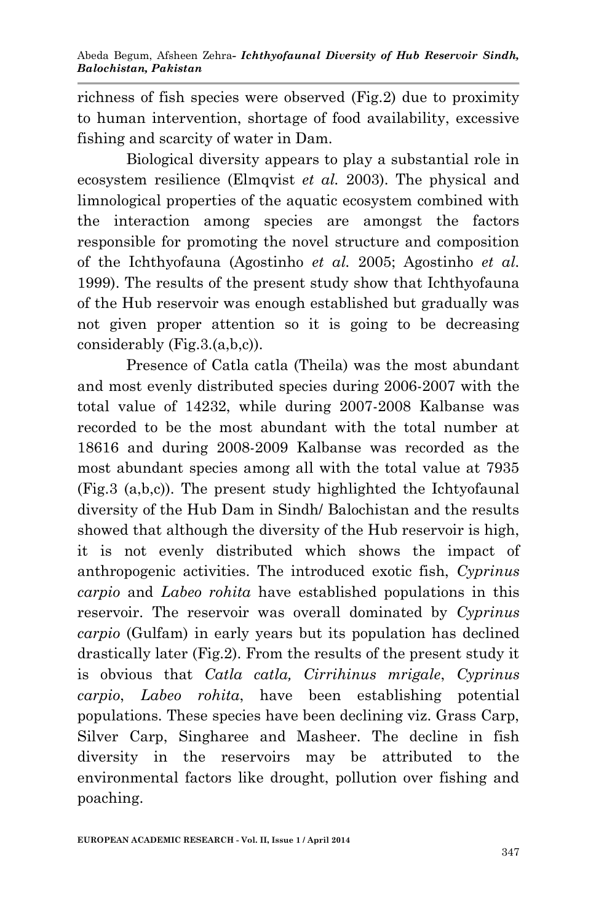richness of fish species were observed (Fig.2) due to proximity to human intervention, shortage of food availability, excessive fishing and scarcity of water in Dam.

Biological diversity appears to play a substantial role in ecosystem resilience (Elmqvist *et al.* 2003). The physical and limnological properties of the aquatic ecosystem combined with the interaction among species are amongst the factors responsible for promoting the novel structure and composition of the Ichthyofauna (Agostinho *et al.* 2005; Agostinho *et al.* 1999). The results of the present study show that Ichthyofauna of the Hub reservoir was enough established but gradually was not given proper attention so it is going to be decreasing considerably (Fig.3.(a,b,c)).

Presence of Catla catla (Theila) was the most abundant and most evenly distributed species during 2006-2007 with the total value of 14232, while during 2007-2008 Kalbanse was recorded to be the most abundant with the total number at 18616 and during 2008-2009 Kalbanse was recorded as the most abundant species among all with the total value at 7935 (Fig.3 (a,b,c)). The present study highlighted the Ichtyofaunal diversity of the Hub Dam in Sindh/ Balochistan and the results showed that although the diversity of the Hub reservoir is high, it is not evenly distributed which shows the impact of anthropogenic activities. The introduced exotic fish, *Cyprinus carpio* and *Labeo rohita* have established populations in this reservoir. The reservoir was overall dominated by *Cyprinus carpio* (Gulfam) in early years but its population has declined drastically later (Fig.2). From the results of the present study it is obvious that *Catla catla, Cirrihinus mrigale*, *Cyprinus carpio*, *Labeo rohita*, have been establishing potential populations. These species have been declining viz. Grass Carp, Silver Carp, Singharee and Masheer. The decline in fish diversity in the reservoirs may be attributed to the environmental factors like drought, pollution over fishing and poaching.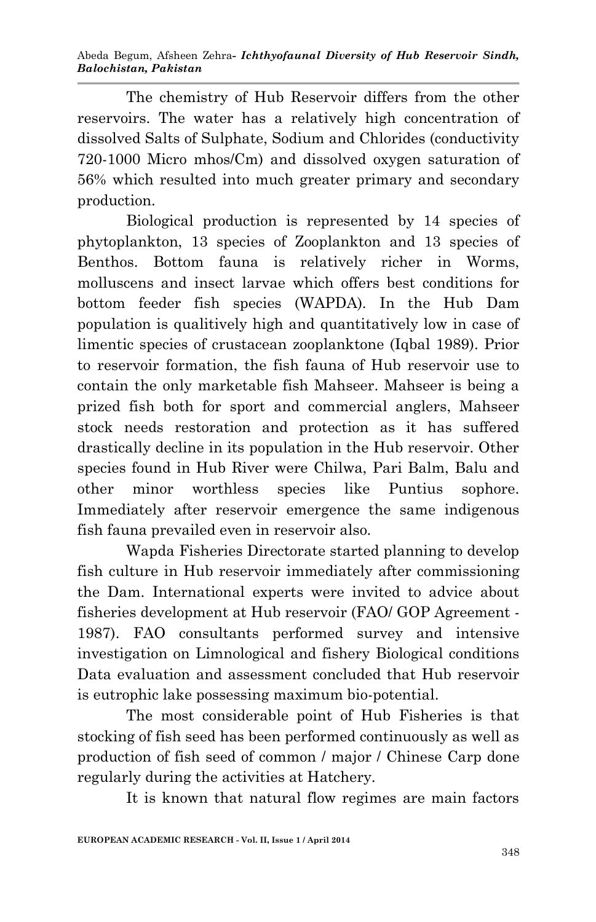Abeda Begum, Afsheen Zehra*- Ichthyofaunal Diversity of Hub Reservoir Sindh, Balochistan, Pakistan*

The chemistry of Hub Reservoir differs from the other reservoirs. The water has a relatively high concentration of dissolved Salts of Sulphate, Sodium and Chlorides (conductivity 720-1000 Micro mhos/Cm) and dissolved oxygen saturation of 56% which resulted into much greater primary and secondary production.

Biological production is represented by 14 species of phytoplankton, 13 species of Zooplankton and 13 species of Benthos. Bottom fauna is relatively richer in Worms, molluscens and insect larvae which offers best conditions for bottom feeder fish species (WAPDA). In the Hub Dam population is qualitively high and quantitatively low in case of limentic species of crustacean zooplanktone (Iqbal 1989). Prior to reservoir formation, the fish fauna of Hub reservoir use to contain the only marketable fish Mahseer. Mahseer is being a prized fish both for sport and commercial anglers, Mahseer stock needs restoration and protection as it has suffered drastically decline in its population in the Hub reservoir. Other species found in Hub River were Chilwa, Pari Balm, Balu and other minor worthless species like Puntius sophore. Immediately after reservoir emergence the same indigenous fish fauna prevailed even in reservoir also.

Wapda Fisheries Directorate started planning to develop fish culture in Hub reservoir immediately after commissioning the Dam. International experts were invited to advice about fisheries development at Hub reservoir (FAO/ GOP Agreement - 1987). FAO consultants performed survey and intensive investigation on Limnological and fishery Biological conditions Data evaluation and assessment concluded that Hub reservoir is eutrophic lake possessing maximum bio-potential.

The most considerable point of Hub Fisheries is that stocking of fish seed has been performed continuously as well as production of fish seed of common / major / Chinese Carp done regularly during the activities at Hatchery.

It is known that natural flow regimes are main factors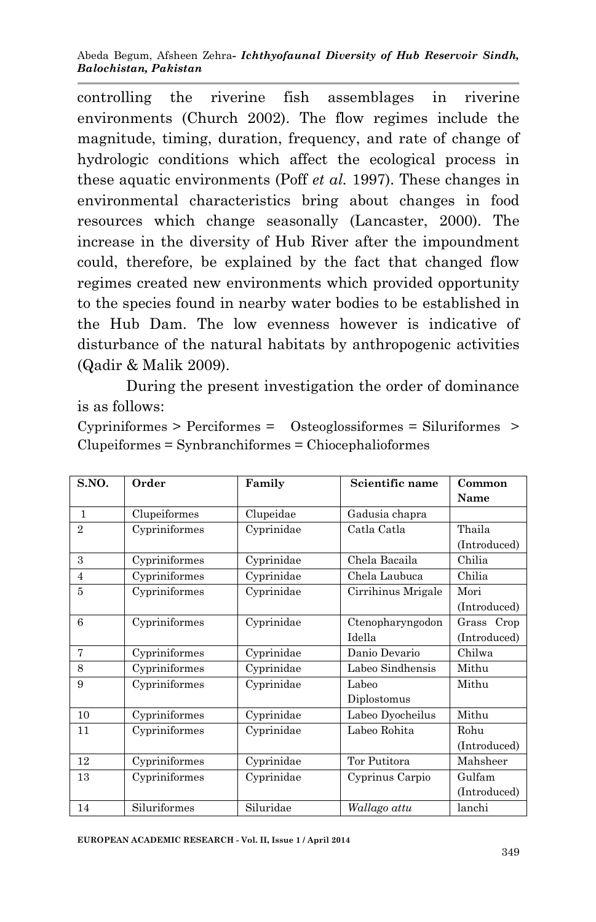controlling the riverine fish assemblages in riverine environments (Church 2002). The flow regimes include the magnitude, timing, duration, frequency, and rate of change of hydrologic conditions which affect the ecological process in these aquatic environments (Poff *et al.* 1997). These changes in environmental characteristics bring about changes in food resources which change seasonally (Lancaster, 2000). The increase in the diversity of Hub River after the impoundment could, therefore, be explained by the fact that changed flow regimes created new environments which provided opportunity to the species found in nearby water bodies to be established in the Hub Dam. The low evenness however is indicative of disturbance of the natural habitats by anthropogenic activities (Qadir & Malik 2009).

During the present investigation the order of dominance is as follows:

Cypriniformes > Perciformes = Osteoglossiformes = Siluriformes > Clupeiformes = Synbranchiformes = Chiocephalioformes

| S.NO.          | Order         | Family     | Scientific name    | Common       |
|----------------|---------------|------------|--------------------|--------------|
|                |               |            |                    | Name         |
| 1              | Clupeiformes  | Clupeidae  | Gadusia chapra     |              |
| $\mathfrak{D}$ | Cypriniformes | Cyprinidae | Catla Catla        | Thaila       |
|                |               |            |                    | (Introduced) |
| 3              | Cypriniformes | Cyprinidae | Chela Bacaila      | Chilia       |
| $\overline{4}$ | Cypriniformes | Cyprinidae | Chela Laubuca      | Chilia       |
| 5              | Cypriniformes | Cyprinidae | Cirrihinus Mrigale | Mori         |
|                |               |            |                    | (Introduced) |
| 6              | Cypriniformes | Cyprinidae | Ctenopharyngodon   | Grass Crop   |
|                |               |            | Idella             | (Introduced) |
| 7              | Cypriniformes | Cyprinidae | Danio Devario      | Chilwa       |
| 8              | Cypriniformes | Cyprinidae | Labeo Sindhensis   | Mithu        |
| 9              | Cypriniformes | Cyprinidae | Labeo              | Mithu        |
|                |               |            | Diplostomus        |              |
| 10             | Cypriniformes | Cyprinidae | Labeo Dyocheilus   | Mithu        |
| 11             | Cypriniformes | Cyprinidae | Labeo Rohita       | Rohu         |
|                |               |            |                    | (Introduced) |
| 12             | Cypriniformes | Cyprinidae | Tor Putitora       | Mahsheer     |
| 13             | Cypriniformes | Cyprinidae | Cyprinus Carpio    | Gulfam       |
|                |               |            |                    | (Introduced) |
| 14             | Siluriformes  | Siluridae  | Wallago attu       | lanchi       |

**EUROPEAN ACADEMIC RESEARCH - Vol. II, Issue 1 / April 2014**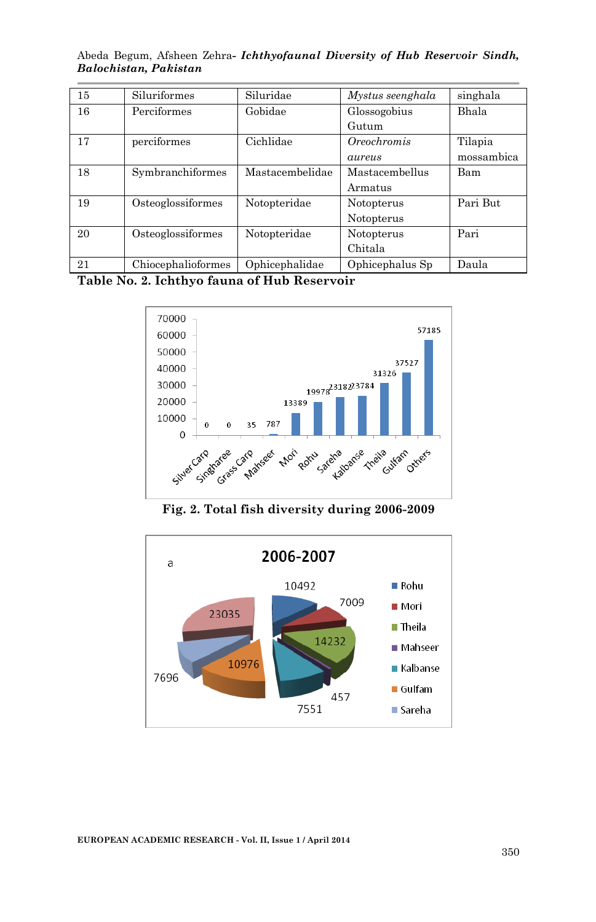|  |                       | Abeda Begum, Afsheen Zehra- <i>Ichthyofaunal Diversity of Hub Reservoir Sindh</i> , |  |  |
|--|-----------------------|-------------------------------------------------------------------------------------|--|--|
|  | Balochistan, Pakistan |                                                                                     |  |  |

| 15 | Siluriformes       | Siluridae       | Mystus seenghala | singhala   |
|----|--------------------|-----------------|------------------|------------|
| 16 | Perciformes        | Gobidae         | Glossogobius     | Bhala      |
|    |                    |                 | Gutum            |            |
| 17 | perciformes        | Cichlidae       | Oreochromis      | Tilapia    |
|    |                    |                 | aureus           | mossambica |
| 18 | Symbranchiformes   | Mastacembelidae | Mastacembellus   | Bam        |
|    |                    |                 | Armatus          |            |
| 19 | Osteoglossiformes  | Notopteridae    | Notopterus       | Pari But   |
|    |                    |                 | Notopterus       |            |
| 20 | Osteoglossiformes  | Notopteridae    | Notopterus       | Pari       |
|    |                    |                 | Chitala          |            |
| 21 | Chiocephalioformes | Ophicephalidae  | Ophicephalus Sp  | Daula      |

**Table No. 2. Ichthyo fauna of Hub Reservoir**



**Fig. 2. Total fish diversity during 2006-2009**



**EUROPEAN ACADEMIC RESEARCH - Vol. II, Issue 1 / April 2014**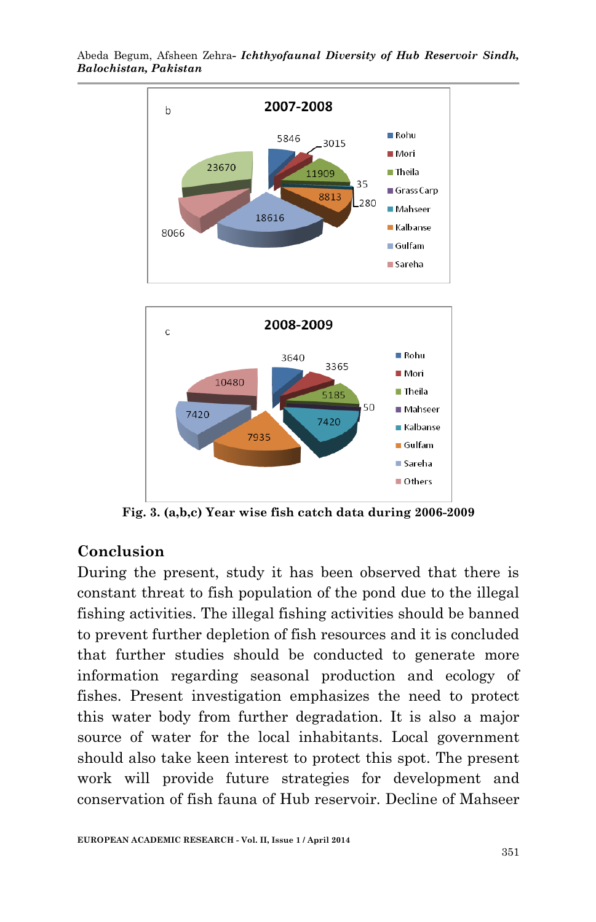

Abeda Begum, Afsheen Zehra*- Ichthyofaunal Diversity of Hub Reservoir Sindh, Balochistan, Pakistan*

**Fig. 3. (a,b,c) Year wise fish catch data during 2006-2009**

## **Conclusion**

During the present, study it has been observed that there is constant threat to fish population of the pond due to the illegal fishing activities. The illegal fishing activities should be banned to prevent further depletion of fish resources and it is concluded that further studies should be conducted to generate more information regarding seasonal production and ecology of fishes. Present investigation emphasizes the need to protect this water body from further degradation. It is also a major source of water for the local inhabitants. Local government should also take keen interest to protect this spot. The present work will provide future strategies for development and conservation of fish fauna of Hub reservoir. Decline of Mahseer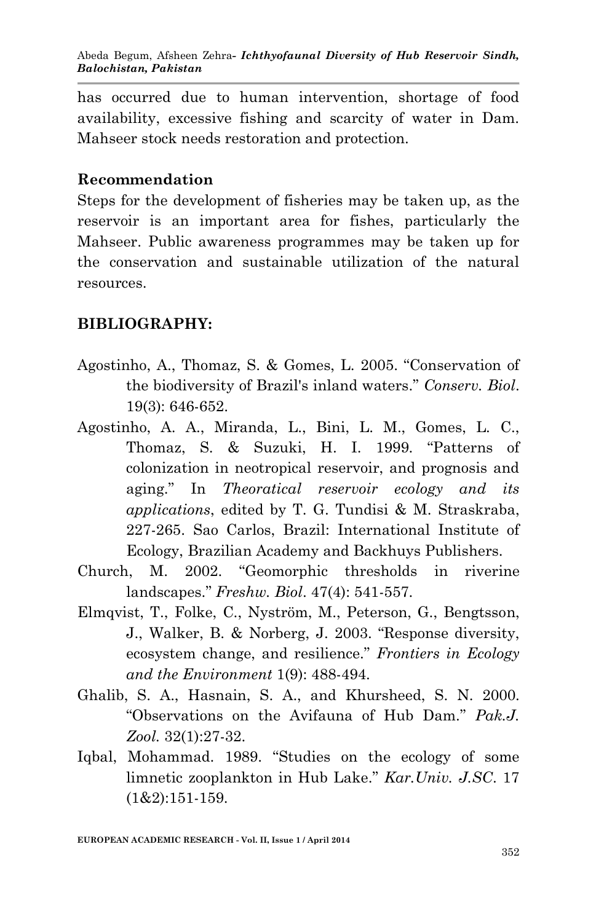has occurred due to human intervention, shortage of food availability, excessive fishing and scarcity of water in Dam. Mahseer stock needs restoration and protection.

## **Recommendation**

Steps for the development of fisheries may be taken up, as the reservoir is an important area for fishes, particularly the Mahseer. Public awareness programmes may be taken up for the conservation and sustainable utilization of the natural resources.

## **BIBLIOGRAPHY:**

- Agostinho, A., Thomaz, S. & Gomes, L. 2005. "Conservation of the biodiversity of Brazil's inland waters." *Conserv. Biol*. 19(3): 646-652.
- Agostinho, A. A., Miranda, L., Bini, L. M., Gomes, L. C., Thomaz, S. & Suzuki, H. I. 1999. "Patterns of colonization in neotropical reservoir, and prognosis and aging." In *Theoratical reservoir ecology and its applications*, edited by T. G. Tundisi & M. Straskraba, 227-265. Sao Carlos, Brazil: International Institute of Ecology, Brazilian Academy and Backhuys Publishers.
- Church, M. 2002. "Geomorphic thresholds in riverine landscapes." *Freshw. Biol*. 47(4): 541-557.
- Elmqvist, T., Folke, C., Nyström, M., Peterson, G., Bengtsson, J., Walker, B. & Norberg, J. 2003. "Response diversity, ecosystem change, and resilience." *Frontiers in Ecology and the Environment* 1(9): 488-494.
- Ghalib, S. A., Hasnain, S. A., and Khursheed, S. N. 2000. "Observations on the Avifauna of Hub Dam." *Pak.J. Zool.* 32(1):27-32.
- Iqbal, Mohammad. 1989. "Studies on the ecology of some limnetic zooplankton in Hub Lake." *Kar.Univ. J.SC*. 17 (1&2):151-159.